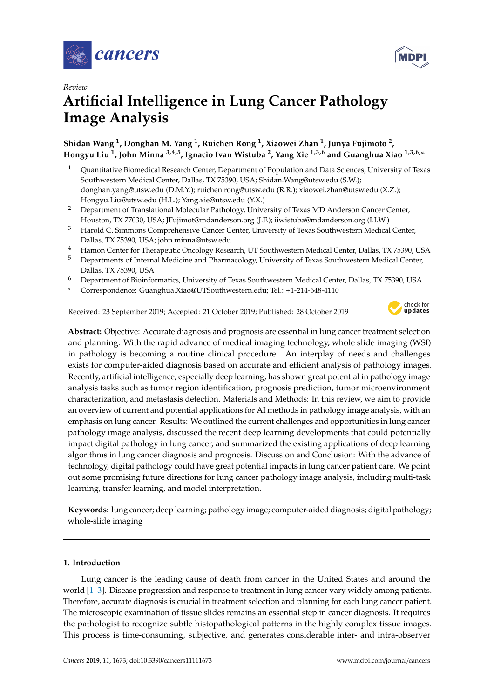



# *Review* **Artificial Intelligence in Lung Cancer Pathology Image Analysis**

# **Shidan Wang <sup>1</sup> , Donghan M. Yang <sup>1</sup> , Ruichen Rong <sup>1</sup> , Xiaowei Zhan <sup>1</sup> , Junya Fujimoto <sup>2</sup> , Hongyu Liu <sup>1</sup> , John Minna 3,4,5, Ignacio Ivan Wistuba <sup>2</sup> , Yang Xie 1,3,6 and Guanghua Xiao 1,3,6,\***

- <sup>1</sup> Ouantitative Biomedical Research Center, Department of Population and Data Sciences, University of Texas Southwestern Medical Center, Dallas, TX 75390, USA; Shidan.Wang@utsw.edu (S.W.); donghan.yang@utsw.edu (D.M.Y.); ruichen.rong@utsw.edu (R.R.); xiaowei.zhan@utsw.edu (X.Z.); Hongyu.Liu@utsw.edu (H.L.); Yang.xie@utsw.edu (Y.X.)
- <sup>2</sup> Department of Translational Molecular Pathology, University of Texas MD Anderson Cancer Center, Houston, TX 77030, USA; JFujimot@mdanderson.org (J.F.); iiwistuba@mdanderson.org (I.I.W.)
- <sup>3</sup> Harold C. Simmons Comprehensive Cancer Center, University of Texas Southwestern Medical Center, Dallas, TX 75390, USA; john.minna@utsw.edu
- <sup>4</sup> Hamon Center for Therapeutic Oncology Research, UT Southwestern Medical Center, Dallas, TX 75390, USA
- <sup>5</sup> Departments of Internal Medicine and Pharmacology, University of Texas Southwestern Medical Center, Dallas, TX 75390, USA
- <sup>6</sup> Department of Bioinformatics, University of Texas Southwestern Medical Center, Dallas, TX 75390, USA
- **\*** Correspondence: Guanghua.Xiao@UTSouthwestern.edu; Tel.: +1-214-648-4110

Received: 23 September 2019; Accepted: 21 October 2019; Published: 28 October 2019



**Abstract:** Objective: Accurate diagnosis and prognosis are essential in lung cancer treatment selection and planning. With the rapid advance of medical imaging technology, whole slide imaging (WSI) in pathology is becoming a routine clinical procedure. An interplay of needs and challenges exists for computer-aided diagnosis based on accurate and efficient analysis of pathology images. Recently, artificial intelligence, especially deep learning, has shown great potential in pathology image analysis tasks such as tumor region identification, prognosis prediction, tumor microenvironment characterization, and metastasis detection. Materials and Methods: In this review, we aim to provide an overview of current and potential applications for AI methods in pathology image analysis, with an emphasis on lung cancer. Results: We outlined the current challenges and opportunities in lung cancer pathology image analysis, discussed the recent deep learning developments that could potentially impact digital pathology in lung cancer, and summarized the existing applications of deep learning algorithms in lung cancer diagnosis and prognosis. Discussion and Conclusion: With the advance of technology, digital pathology could have great potential impacts in lung cancer patient care. We point out some promising future directions for lung cancer pathology image analysis, including multi-task learning, transfer learning, and model interpretation.

**Keywords:** lung cancer; deep learning; pathology image; computer-aided diagnosis; digital pathology; whole-slide imaging

## **1. Introduction**

Lung cancer is the leading cause of death from cancer in the United States and around the world [\[1–](#page-10-0)[3\]](#page-10-1). Disease progression and response to treatment in lung cancer vary widely among patients. Therefore, accurate diagnosis is crucial in treatment selection and planning for each lung cancer patient. The microscopic examination of tissue slides remains an essential step in cancer diagnosis. It requires the pathologist to recognize subtle histopathological patterns in the highly complex tissue images. This process is time-consuming, subjective, and generates considerable inter- and intra-observer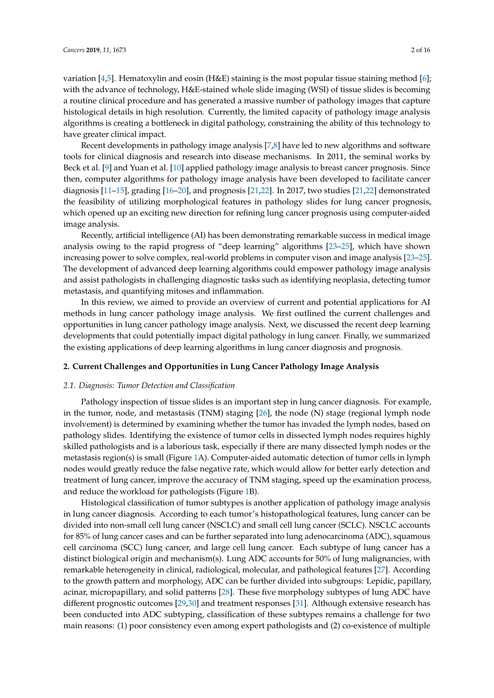variation [\[4,](#page-10-2)[5\]](#page-10-3). Hematoxylin and eosin (H&E) staining is the most popular tissue staining method [\[6\]](#page-10-4); with the advance of technology, H&E-stained whole slide imaging (WSI) of tissue slides is becoming a routine clinical procedure and has generated a massive number of pathology images that capture histological details in high resolution. Currently, the limited capacity of pathology image analysis algorithms is creating a bottleneck in digital pathology, constraining the ability of this technology to have greater clinical impact.

Recent developments in pathology image analysis [\[7,](#page-10-5)[8\]](#page-10-6) have led to new algorithms and software tools for clinical diagnosis and research into disease mechanisms. In 2011, the seminal works by Beck et al. [\[9\]](#page-10-7) and Yuan et al. [\[10\]](#page-10-8) applied pathology image analysis to breast cancer prognosis. Since then, computer algorithms for pathology image analysis have been developed to facilitate cancer diagnosis [\[11](#page-10-9)[–15\]](#page-10-10), grading [\[16](#page-10-11)[–20\]](#page-10-12), and prognosis [\[21,](#page-11-0)[22\]](#page-11-1). In 2017, two studies [\[21,](#page-11-0)[22\]](#page-11-1) demonstrated the feasibility of utilizing morphological features in pathology slides for lung cancer prognosis, which opened up an exciting new direction for refining lung cancer prognosis using computer-aided image analysis.

Recently, artificial intelligence (AI) has been demonstrating remarkable success in medical image analysis owing to the rapid progress of "deep learning" algorithms [\[23](#page-11-2)[–25\]](#page-11-3), which have shown increasing power to solve complex, real-world problems in computer vison and image analysis [\[23–](#page-11-2)[25\]](#page-11-3). The development of advanced deep learning algorithms could empower pathology image analysis and assist pathologists in challenging diagnostic tasks such as identifying neoplasia, detecting tumor metastasis, and quantifying mitoses and inflammation.

In this review, we aimed to provide an overview of current and potential applications for AI methods in lung cancer pathology image analysis. We first outlined the current challenges and opportunities in lung cancer pathology image analysis. Next, we discussed the recent deep learning developments that could potentially impact digital pathology in lung cancer. Finally, we summarized the existing applications of deep learning algorithms in lung cancer diagnosis and prognosis.

# <span id="page-1-0"></span>**2. Current Challenges and Opportunities in Lung Cancer Pathology Image Analysis**

#### *2.1. Diagnosis: Tumor Detection and Classification*

Pathology inspection of tissue slides is an important step in lung cancer diagnosis. For example, in the tumor, node, and metastasis (TNM) staging  $[26]$ , the node (N) stage (regional lymph node involvement) is determined by examining whether the tumor has invaded the lymph nodes, based on pathology slides. Identifying the existence of tumor cells in dissected lymph nodes requires highly skilled pathologists and is a laborious task, especially if there are many dissected lymph nodes or the metastasis region(s) is small (Figure [1A](#page-2-0)). Computer-aided automatic detection of tumor cells in lymph nodes would greatly reduce the false negative rate, which would allow for better early detection and treatment of lung cancer, improve the accuracy of TNM staging, speed up the examination process, and reduce the workload for pathologists (Figure [1B](#page-2-0)).

Histological classification of tumor subtypes is another application of pathology image analysis in lung cancer diagnosis. According to each tumor's histopathological features, lung cancer can be divided into non-small cell lung cancer (NSCLC) and small cell lung cancer (SCLC). NSCLC accounts for 85% of lung cancer cases and can be further separated into lung adenocarcinoma (ADC), squamous cell carcinoma (SCC) lung cancer, and large cell lung cancer. Each subtype of lung cancer has a distinct biological origin and mechanism(s). Lung ADC accounts for 50% of lung malignancies, with remarkable heterogeneity in clinical, radiological, molecular, and pathological features [\[27\]](#page-11-5). According to the growth pattern and morphology, ADC can be further divided into subgroups: Lepidic, papillary, acinar, micropapillary, and solid patterns [\[28\]](#page-11-6). These five morphology subtypes of lung ADC have different prognostic outcomes [\[29,](#page-11-7)[30\]](#page-11-8) and treatment responses [\[31\]](#page-11-9). Although extensive research has been conducted into ADC subtyping, classification of these subtypes remains a challenge for two main reasons: (1) poor consistency even among expert pathologists and (2) co-existence of multiple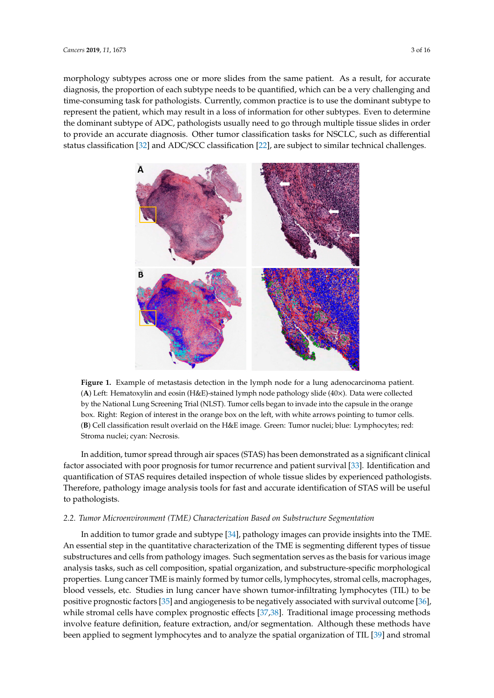morphology subtypes across one or more slides from the same patient. As a result, for accurate diagnosis, the proportion of each subtype needs to be quantified, which can be a very challenging and time-consuming task for pathologists. Currently, common practice is to use the dominant subtype to represent the patient, which may result in a loss of information for other subtypes. Even to determine the dominant subtype of ADC, pathologists usually need to go through multiple tissue slides in order to provide<br>The dominant subtype of ADC, pathologists usually need to go through multiple tissue slides in order to provide an accurate diagnosis. Other tumor classification tasks for NSCLC, such as differential status classification [\[32\]](#page-11-10) and ADC/SCC classification [\[22\]](#page-11-1), are subject to similar technical challenges. similar technical challenges. subtypes. Even to determine the dominant subtype of  $\frac{1}{2}$  and  $\frac{1}{2}$  and  $\frac{1}{2}$  and  $\frac{1}{2}$  and  $\frac{1}{2}$  and  $\frac{1}{2}$  and  $\frac{1}{2}$  and  $\frac{1}{2}$  and  $\frac{1}{2}$  and  $\frac{1}{2}$  and  $\frac{1}{2}$  and  $\frac{1}{2}$  and

<span id="page-2-0"></span>

**Figure 1.** Example of metastasis detection in the lymph node for a lung adenocarcinoma patient. (A) Left: Hematoxylin and eosin (H&E)-stained lymph node pathology slide (40×). Data were collected by the National Lung Screening Trial (NLST). Tumor cells began to invade into the capsule in the orange box. Right: Region of interest in the orange box on the left, with white arrows pointing to tumor cells. (**B**) Cell classification result overlaid on the H&E image. Green: tumor nuclei; blue: lymphocytes; red: (**B**) Cell classification result overlaid on the H&E image. Green: Tumor nuclei; blue: Lymphocytes; red: Stroma nuclei; cyan: Necrosis.

In addition, tumor spread through air spaces (STAS) has been demonstrated as a significant In addition, tumor spread through air spaces (STAS) has been demonstrated as a significant clinical factor associated with poor prognosis for tumor recurrence and patient survival [\[33\]](#page-11-11). Identification and quantification of STAS requires detailed inspection of whole tissue slides by experienced pathologists. experience  $\frac{1}{2}$  is the fast analysis to  $\frac{1}{2}$  in  $\frac{1}{2}$  for  $\frac{1}{2}$  for  $\frac{1}{2}$  and  $\frac{1}{2}$  and  $\frac{1}{2}$  and  $\frac{1}{2}$  and  $\frac{1}{2}$  and  $\frac{1}{2}$  and  $\frac{1}{2}$  and  $\frac{1}{2}$  and  $\frac{1}{2}$  and  $\frac{1}{2}$ Therefore, pathology image analysis tools for fast and accurate identification of STAS will be useful to pathologists.

 $\mathcal{I}$  and subtype  $[34]$ , pathology images can provide instaghts insights insights into the theorem

#### *2.2. Tumor Microenvironment (TME) Characterization Based on Substructure Segmentation 2.2. Tumor Microenvironment (TME) Characterization Based on Substructure Segmentation*

In addition to tumor grade and subtype [\[34\]](#page-11-12), pathology images can provide insights into the TME. An essential step in the quantitative characterization of the TME is segmenting different types of tissue substructures and cells from pathology images. Such segmentation serves as the basis for various image analysis tasks, such as cell composition, spatial organization, and substructure-specific morphological properties. Lung cancer TME is mainly formed by tumor cells, lymphocytes, stromal cells, macrophages, blood vessels, etc. Studies in lung cancer have shown tumor-infiltrating lymphocytes (TIL) to be positive prognostic factors [\[35\]](#page-11-13) and angiogenesis to be negatively associated with survival outcome [\[36\]](#page-11-14), while stromal cells have complex prognostic effects [\[37](#page-11-15)[,38\]](#page-12-0). Traditional image processing methods involve feature definition, feature extraction, and/or segmentation. Although these methods have been applied to segment lymphocytes and to analyze the spatial organization of TIL [\[39\]](#page-12-1) and stromal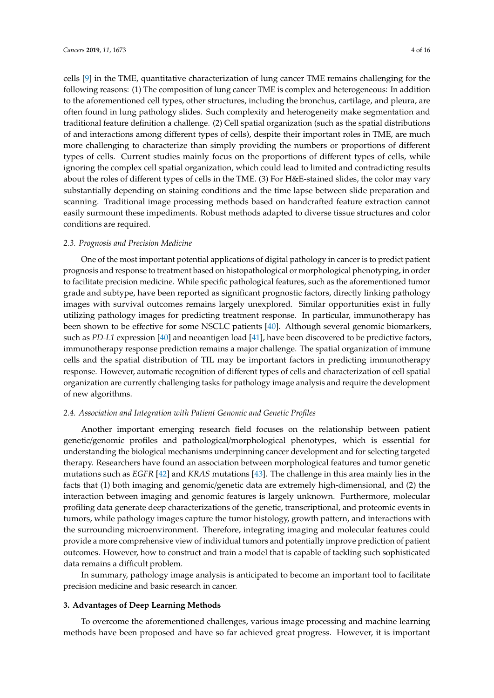cells [\[9\]](#page-10-7) in the TME, quantitative characterization of lung cancer TME remains challenging for the following reasons: (1) The composition of lung cancer TME is complex and heterogeneous: In addition to the aforementioned cell types, other structures, including the bronchus, cartilage, and pleura, are often found in lung pathology slides. Such complexity and heterogeneity make segmentation and traditional feature definition a challenge. (2) Cell spatial organization (such as the spatial distributions of and interactions among different types of cells), despite their important roles in TME, are much more challenging to characterize than simply providing the numbers or proportions of different types of cells. Current studies mainly focus on the proportions of different types of cells, while ignoring the complex cell spatial organization, which could lead to limited and contradicting results about the roles of different types of cells in the TME. (3) For H&E-stained slides, the color may vary substantially depending on staining conditions and the time lapse between slide preparation and scanning. Traditional image processing methods based on handcrafted feature extraction cannot easily surmount these impediments. Robust methods adapted to diverse tissue structures and color conditions are required.

#### *2.3. Prognosis and Precision Medicine*

One of the most important potential applications of digital pathology in cancer is to predict patient prognosis and response to treatment based on histopathological or morphological phenotyping, in order to facilitate precision medicine. While specific pathological features, such as the aforementioned tumor grade and subtype, have been reported as significant prognostic factors, directly linking pathology images with survival outcomes remains largely unexplored. Similar opportunities exist in fully utilizing pathology images for predicting treatment response. In particular, immunotherapy has been shown to be effective for some NSCLC patients [\[40\]](#page-12-2). Although several genomic biomarkers, such as *PD-L1* expression [\[40\]](#page-12-2) and neoantigen load [\[41\]](#page-12-3), have been discovered to be predictive factors, immunotherapy response prediction remains a major challenge. The spatial organization of immune cells and the spatial distribution of TIL may be important factors in predicting immunotherapy response. However, automatic recognition of different types of cells and characterization of cell spatial organization are currently challenging tasks for pathology image analysis and require the development of new algorithms.

#### *2.4. Association and Integration with Patient Genomic and Genetic Profiles*

Another important emerging research field focuses on the relationship between patient genetic/genomic profiles and pathological/morphological phenotypes, which is essential for understanding the biological mechanisms underpinning cancer development and for selecting targeted therapy. Researchers have found an association between morphological features and tumor genetic mutations such as *EGFR* [\[42\]](#page-12-4) and *KRAS* mutations [\[43\]](#page-12-5). The challenge in this area mainly lies in the facts that (1) both imaging and genomic/genetic data are extremely high-dimensional, and (2) the interaction between imaging and genomic features is largely unknown. Furthermore, molecular profiling data generate deep characterizations of the genetic, transcriptional, and proteomic events in tumors, while pathology images capture the tumor histology, growth pattern, and interactions with the surrounding microenvironment. Therefore, integrating imaging and molecular features could provide a more comprehensive view of individual tumors and potentially improve prediction of patient outcomes. However, how to construct and train a model that is capable of tackling such sophisticated data remains a difficult problem.

In summary, pathology image analysis is anticipated to become an important tool to facilitate precision medicine and basic research in cancer.

#### **3. Advantages of Deep Learning Methods**

To overcome the aforementioned challenges, various image processing and machine learning methods have been proposed and have so far achieved great progress. However, it is important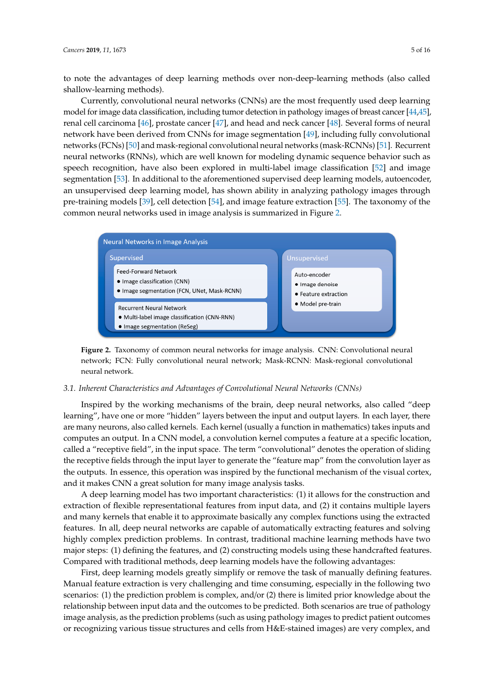to note the advantages of deep learning methods over non-deep-learning methods (also called shallow-learning methods).

Currently, convolutional neural networks (CNNs) are the most frequently used deep learning model for image data classification, including tumor detection in pathology images of breast cancer [\[44,](#page-12-6)[45\]](#page-12-7), renal cell carcinoma  $[46]$ , prostate cancer  $[47]$ , and head and neck cancer  $[48]$ . Several forms of neural network have been derived from CNNs for image segmentation [ $49$ ], including fully convolutional networks (FCNs) [\[50\]](#page-12-12) and mask-regional convolutional neural networks (mask-RCNNs) [\[51\]](#page-12-13). Recurrent neural networks (RNNs), which are well known for modeling dynamic sequence behavior such as speech recognition, have also been explored in multi-label image classification [\[52\]](#page-12-14) and image segmentation [\[53\]](#page-12-15). In additional to the aforementioned supervised deep learning models, autoencoder, an unsupervised deep learning model, has shown ability in analyzing pathology images through pre-training models  $[39]$ , cell detection  $[54]$ , and image feature extraction  $[55]$ . The taxonomy of the common neural networks used in image analysis is summarized in Figure [2.](#page-4-0) 2.

<span id="page-4-0"></span>

**Figure 2.** Taxonomy of common neural networks for image analysis. CNN: convolutional neural **Figure 2.** Taxonomy of common neural networks for image analysis. CNN: Convolutional neural network; FCN: fully convolutional neural network; Mask-RCNN: mask-regional convolutional neural network; FCN: Fully convolutional neural network; Mask-RCNN: Mask-regional convolutional neural network.

# *3.1. Inherent Characteristics and Advantages of Convolutional Neural Networks (CNNs) 3.1. Inherent Characteristics and Advantages of Convolutional Neural Networks (CNNs)*

Inspired by the working mechanisms of the brain, deep neural networks, also called "deep learning", have one or more "hidden" layers between the input and output layers. In each layer, there learning", have one or more "hidden" layers between the input and output layers. In each layer, there are many neurons, also called kernels. Each kernel (usually a function in mathematics) takes inputs and are many neurons, also called kernels. Each kernel (usually a function in mathematics) takes inputs computes an output. In a CNN model, a convolution kernel computes a feature at a specific location, computes an output. In a CNN model, a convolution heriter computes a feature at a specific fecturer,<br>called a "receptive field", in the input space. The term "convolutional" denotes the operation of sliding  $\epsilon$  called a receptive field a theoretic field a receptive field a receptive field a receptive field  $\epsilon$  the operation  $\epsilon$  the operation  $\epsilon$ the receptive fields through the input layer to generate the "feature map" from the convolution layer as the retrieval and the feature map" from the convolution layer as and it makes CNN a great solution for many image analysis tasks. Inspired by the working mechanisms of the brain, deep neural networks, also called "deep the outputs. In essence, this operation was inspired by the functional mechanism of the visual cortex,

A deep learning model has two important characteristics: (1) it allows for the construction and a deep learning model has two important characteristics: (1) it allows for the construction and A deep learning model has two important characteristics: (1) it allows for the construction and extraction of flexible representational features from input data, and (2) it contains multiple layers extraction of flexible representations from input data, and  $\mu$  is contained by  $\mu$  is contained by  $\mu$  is contained by  $\mu$  is contained by  $\mu$  is contained by  $\mu$  is contained by  $\mu$  is contained by  $\mu$  is contai and many kernels that enable it to approximate basically any complex functions using the extracted and and the<br>features. In all, days gauged gaturaries are appelled af automatically outpeaking features and and riving features. In all, deep neural networks are capable of automatically extracting features and solving highly complex prediction problems. In contrast, traditional machine learning methods have two highly complex prediction problems. In contrast, traditional machine learning methods have two major steps: (1) defining the features, and (2) constructing models using these handcrafted features. major steps: (1) defining the features, and (2) constructing models using these handcrafted features. Compared with traditional methods, deep learning models have the following advantages: features. In all, deep neural networks are capable of automatically extracting features and solving

Einfused with traditional methods, deep learning models have the following advantages.<br>First, deep learning models greatly simplify or remove the task of manually defining features. First, deep learning models greatly simplify or remove the task of manually defining features. Manual feature extraction is very challenging and time consuming, especially in the following two Manual feature extraction is very challenging and time consuming, especially in the following two scenarios: (1) the prediction problem is complex, and/or (2) there is limited prior knowledge about the relationship between input data and the outcomes to be predicted. Both scenarios are true of pathology relationship between input data and the outcomes to be predicted. Both scenarios are true of pathology the relationship between input data and the outcomes to be predicted. Both scenarios are true of image analysis, as the prediction problems (such as using pathology images to predict patient outcomes pathology image analysis, as the prediction problems (such as using pathology images to predict or recognizing various tissue structures and cells from H&E-stained images) are very complex, and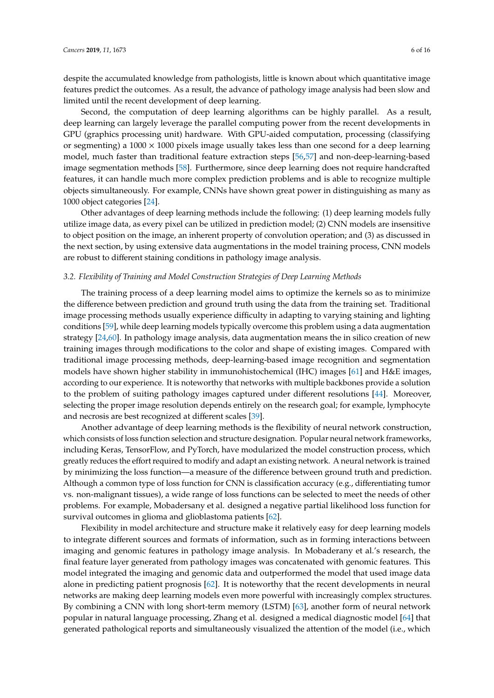despite the accumulated knowledge from pathologists, little is known about which quantitative image features predict the outcomes. As a result, the advance of pathology image analysis had been slow and limited until the recent development of deep learning.

Second, the computation of deep learning algorithms can be highly parallel. As a result, deep learning can largely leverage the parallel computing power from the recent developments in GPU (graphics processing unit) hardware. With GPU-aided computation, processing (classifying or segmenting) a  $1000 \times 1000$  pixels image usually takes less than one second for a deep learning model, much faster than traditional feature extraction steps [\[56](#page-12-18)[,57\]](#page-12-19) and non-deep-learning-based image segmentation methods [\[58\]](#page-13-0). Furthermore, since deep learning does not require handcrafted features, it can handle much more complex prediction problems and is able to recognize multiple objects simultaneously. For example, CNNs have shown great power in distinguishing as many as 1000 object categories [\[24\]](#page-11-16).

Other advantages of deep learning methods include the following: (1) deep learning models fully utilize image data, as every pixel can be utilized in prediction model; (2) CNN models are insensitive to object position on the image, an inherent property of convolution operation; and (3) as discussed in the next section, by using extensive data augmentations in the model training process, CNN models are robust to different staining conditions in pathology image analysis.

## *3.2. Flexibility of Training and Model Construction Strategies of Deep Learning Methods*

The training process of a deep learning model aims to optimize the kernels so as to minimize the difference between prediction and ground truth using the data from the training set. Traditional image processing methods usually experience difficulty in adapting to varying staining and lighting conditions [\[59\]](#page-13-1), while deep learning models typically overcome this problem using a data augmentation strategy [\[24,](#page-11-16)[60\]](#page-13-2). In pathology image analysis, data augmentation means the in silico creation of new training images through modifications to the color and shape of existing images. Compared with traditional image processing methods, deep-learning-based image recognition and segmentation models have shown higher stability in immunohistochemical (IHC) images [\[61\]](#page-13-3) and H&E images, according to our experience. It is noteworthy that networks with multiple backbones provide a solution to the problem of suiting pathology images captured under different resolutions [\[44\]](#page-12-6). Moreover, selecting the proper image resolution depends entirely on the research goal; for example, lymphocyte and necrosis are best recognized at different scales [\[39\]](#page-12-1).

Another advantage of deep learning methods is the flexibility of neural network construction, which consists of loss function selection and structure designation. Popular neural network frameworks, including Keras, TensorFlow, and PyTorch, have modularized the model construction process, which greatly reduces the effort required to modify and adapt an existing network. A neural network is trained by minimizing the loss function—a measure of the difference between ground truth and prediction. Although a common type of loss function for CNN is classification accuracy (e.g., differentiating tumor vs. non-malignant tissues), a wide range of loss functions can be selected to meet the needs of other problems. For example, Mobadersany et al. designed a negative partial likelihood loss function for survival outcomes in glioma and glioblastoma patients [\[62\]](#page-13-4).

Flexibility in model architecture and structure make it relatively easy for deep learning models to integrate different sources and formats of information, such as in forming interactions between imaging and genomic features in pathology image analysis. In Mobaderany et al.'s research, the final feature layer generated from pathology images was concatenated with genomic features. This model integrated the imaging and genomic data and outperformed the model that used image data alone in predicting patient prognosis [\[62\]](#page-13-4). It is noteworthy that the recent developments in neural networks are making deep learning models even more powerful with increasingly complex structures. By combining a CNN with long short-term memory (LSTM) [\[63\]](#page-13-5), another form of neural network popular in natural language processing, Zhang et al. designed a medical diagnostic model [\[64\]](#page-13-6) that generated pathological reports and simultaneously visualized the attention of the model (i.e., which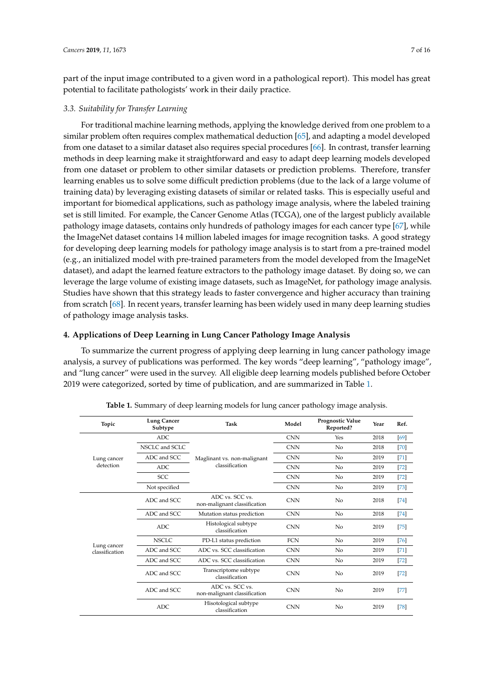part of the input image contributed to a given word in a pathological report). This model has great potential to facilitate pathologists' work in their daily practice.

#### *3.3. Suitability for Transfer Learning*

For traditional machine learning methods, applying the knowledge derived from one problem to a similar problem often requires complex mathematical deduction [\[65\]](#page-13-7), and adapting a model developed from one dataset to a similar dataset also requires special procedures [\[66\]](#page-13-8). In contrast, transfer learning methods in deep learning make it straightforward and easy to adapt deep learning models developed from one dataset or problem to other similar datasets or prediction problems. Therefore, transfer learning enables us to solve some difficult prediction problems (due to the lack of a large volume of training data) by leveraging existing datasets of similar or related tasks. This is especially useful and important for biomedical applications, such as pathology image analysis, where the labeled training set is still limited. For example, the Cancer Genome Atlas (TCGA), one of the largest publicly available pathology image datasets, contains only hundreds of pathology images for each cancer type [\[67\]](#page-13-9), while the ImageNet dataset contains 14 million labeled images for image recognition tasks. A good strategy for developing deep learning models for pathology image analysis is to start from a pre-trained model (e.g., an initialized model with pre-trained parameters from the model developed from the ImageNet dataset), and adapt the learned feature extractors to the pathology image dataset. By doing so, we can leverage the large volume of existing image datasets, such as ImageNet, for pathology image analysis. Studies have shown that this strategy leads to faster convergence and higher accuracy than training from scratch [\[68\]](#page-13-10). In recent years, transfer learning has been widely used in many deep learning studies of pathology image analysis tasks.

## **4. Applications of Deep Learning in Lung Cancer Pathology Image Analysis**

To summarize the current progress of applying deep learning in lung cancer pathology image analysis, a survey of publications was performed. The key words "deep learning", "pathology image", and "lung cancer" were used in the survey. All eligible deep learning models published before October 2019 were categorized, sorted by time of publication, and are summarized in Table [1.](#page-7-0)

| Topic                         | <b>Lung Cancer</b><br>Subtype | Task                                            | Model      | Prognostic Value<br>Reported? | Year | Ref.   |
|-------------------------------|-------------------------------|-------------------------------------------------|------------|-------------------------------|------|--------|
|                               | <b>ADC</b>                    |                                                 | <b>CNN</b> | Yes                           | 2018 | [69]   |
|                               | NSCLC and SCLC                |                                                 | <b>CNN</b> | No                            | 2018 | [70]   |
| Lung cancer                   | ADC and SCC                   | Maglinant vs. non-malignant                     | <b>CNN</b> | No                            | 2019 | [71]   |
| detection                     | <b>ADC</b>                    | classification                                  | <b>CNN</b> | No                            | 2019 | [72]   |
|                               | <b>SCC</b>                    |                                                 | <b>CNN</b> | No                            | 2019 | $[72]$ |
|                               | Not specified                 |                                                 | <b>CNN</b> | No                            | 2019 | $[73]$ |
|                               | ADC and SCC                   | ADC vs. SCC vs.<br>non-malignant classification | <b>CNN</b> | No                            | 2018 | [74]   |
|                               | ADC and SCC                   | Mutation status prediction                      | <b>CNN</b> | No                            | 2018 | [74]   |
|                               | <b>ADC</b>                    | Histological subtype<br>classification          | <b>CNN</b> | No                            | 2019 | [75]   |
|                               | <b>NSCLC</b>                  | PD-L1 status prediction                         | <b>FCN</b> | No                            | 2019 | [76]   |
| Lung cancer<br>classification | ADC and SCC                   | ADC vs. SCC classification                      | <b>CNN</b> | No                            | 2019 | 71     |
|                               | ADC and SCC                   | ADC vs. SCC classification                      | <b>CNN</b> | No                            | 2019 | [72]   |
|                               | ADC and SCC                   | Transcriptome subtype<br>classification         | <b>CNN</b> | No                            | 2019 | $[72]$ |
|                               | ADC and SCC                   | ADC vs. SCC vs.<br>non-malignant classification | <b>CNN</b> | No                            | 2019 | $[77]$ |
|                               | <b>ADC</b>                    | Hisotological subtype<br>classification         | <b>CNN</b> | No                            | 2019 | [78]   |

**Table 1.** Summary of deep learning models for lung cancer pathology image analysis.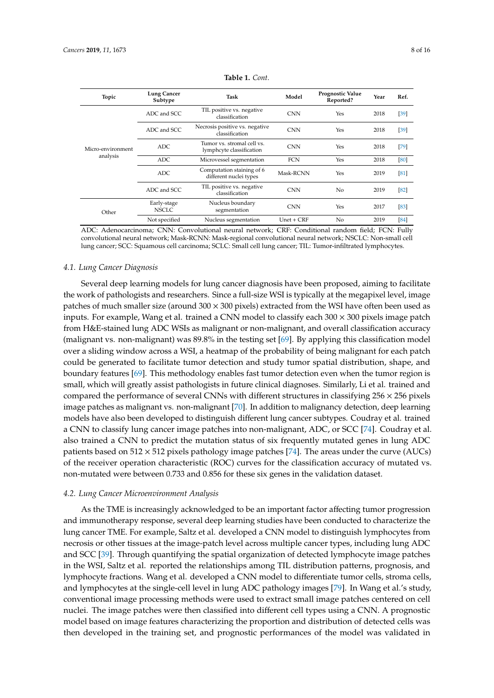<span id="page-7-0"></span>

| Topic                         | <b>Lung Cancer</b><br>Subtype | Task                                                   | Model        | Prognostic Value<br>Reported? | Year | Ref. |
|-------------------------------|-------------------------------|--------------------------------------------------------|--------------|-------------------------------|------|------|
| Micro-environment<br>analysis | ADC and SCC.                  | TIL positive vs. negative<br>classification            | <b>CNN</b>   | Yes                           | 2018 | [39] |
|                               | ADC and SCC.                  | Necrosis positive vs. negative<br>classification       | <b>CNN</b>   | Yes                           | 2018 | 39   |
|                               | ADC                           | Tumor vs. stromal cell vs.<br>lymphcyte classification | <b>CNN</b>   | Yes                           | 2018 | [79] |
|                               | ADC.                          | Microvessel segmentation                               | <b>FCN</b>   | Yes                           | 2018 | [80] |
|                               | <b>ADC</b>                    | Computation staining of 6<br>different nuclei types    | Mask-RCNN    | Yes                           | 2019 | 81   |
|                               | ADC and SCC.                  | TIL positive vs. negative<br>classification            | <b>CNN</b>   | No                            | 2019 | 82   |
| Other                         | Early-stage<br><b>NSCLC</b>   | Nucleus boundary<br>segmentation                       | <b>CNN</b>   | Yes                           | 2017 | 83   |
|                               | Not specified                 | Nucleus segmentation                                   | $Unet + CRF$ | No                            | 2019 | 84   |

**Table 1.** *Cont.*

ADC: Adenocarcinoma; CNN: Convolutional neural network; CRF: Conditional random field; FCN: Fully convolutional neural network; Mask-RCNN: Mask-regional convolutional neural network; NSCLC: Non-small cell lung cancer; SCC: Squamous cell carcinoma; SCLC: Small cell lung cancer; TIL: Tumor-infiltrated lymphocytes.

#### *4.1. Lung Cancer Diagnosis*

Several deep learning models for lung cancer diagnosis have been proposed, aiming to facilitate the work of pathologists and researchers. Since a full-size WSI is typically at the megapixel level, image patches of much smaller size (around  $300 \times 300$  pixels) extracted from the WSI have often been used as inputs. For example, Wang et al. trained a CNN model to classify each  $300 \times 300$  pixels image patch from H&E-stained lung ADC WSIs as malignant or non-malignant, and overall classification accuracy (malignant vs. non-malignant) was 89.8% in the testing set [\[69\]](#page-13-11). By applying this classification model over a sliding window across a WSI, a heatmap of the probability of being malignant for each patch could be generated to facilitate tumor detection and study tumor spatial distribution, shape, and boundary features [\[69\]](#page-13-11). This methodology enables fast tumor detection even when the tumor region is small, which will greatly assist pathologists in future clinical diagnoses. Similarly, Li et al. trained and compared the performance of several CNNs with different structures in classifying  $256 \times 256$  pixels image patches as malignant vs. non-malignant [\[70\]](#page-13-12). In addition to malignancy detection, deep learning models have also been developed to distinguish different lung cancer subtypes. Coudray et al. trained a CNN to classify lung cancer image patches into non-malignant, ADC, or SCC [\[74\]](#page-13-16). Coudray et al. also trained a CNN to predict the mutation status of six frequently mutated genes in lung ADC patients based on  $512 \times 512$  pixels pathology image patches [\[74\]](#page-13-16). The areas under the curve (AUCs) of the receiver operation characteristic (ROC) curves for the classification accuracy of mutated vs. non-mutated were between 0.733 and 0.856 for these six genes in the validation dataset.

## <span id="page-7-1"></span>*4.2. Lung Cancer Microenvironment Analysis*

As the TME is increasingly acknowledged to be an important factor affecting tumor progression and immunotherapy response, several deep learning studies have been conducted to characterize the lung cancer TME. For example, Saltz et al. developed a CNN model to distinguish lymphocytes from necrosis or other tissues at the image-patch level across multiple cancer types, including lung ADC and SCC [\[39\]](#page-12-1). Through quantifying the spatial organization of detected lymphocyte image patches in the WSI, Saltz et al. reported the relationships among TIL distribution patterns, prognosis, and lymphocyte fractions. Wang et al. developed a CNN model to differentiate tumor cells, stroma cells, and lymphocytes at the single-cell level in lung ADC pathology images [\[79\]](#page-14-1). In Wang et al.'s study, conventional image processing methods were used to extract small image patches centered on cell nuclei. The image patches were then classified into different cell types using a CNN. A prognostic model based on image features characterizing the proportion and distribution of detected cells was then developed in the training set, and prognostic performances of the model was validated in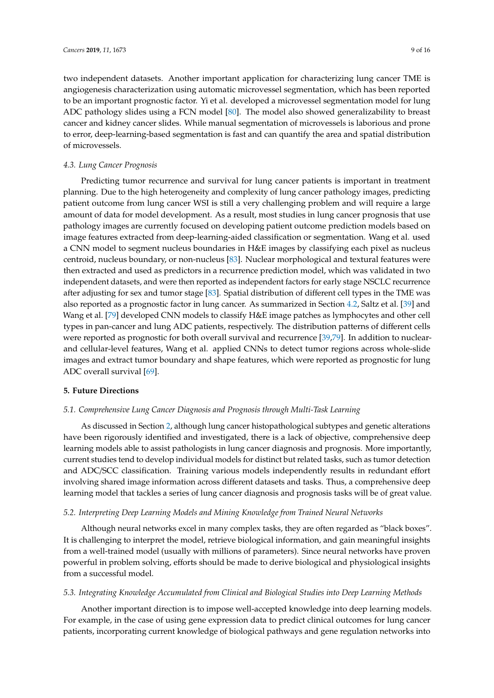two independent datasets. Another important application for characterizing lung cancer TME is angiogenesis characterization using automatic microvessel segmentation, which has been reported to be an important prognostic factor. Yi et al. developed a microvessel segmentation model for lung ADC pathology slides using a FCN model [\[80\]](#page-14-2). The model also showed generalizability to breast cancer and kidney cancer slides. While manual segmentation of microvessels is laborious and prone to error, deep-learning-based segmentation is fast and can quantify the area and spatial distribution of microvessels.

# *4.3. Lung Cancer Prognosis*

Predicting tumor recurrence and survival for lung cancer patients is important in treatment planning. Due to the high heterogeneity and complexity of lung cancer pathology images, predicting patient outcome from lung cancer WSI is still a very challenging problem and will require a large amount of data for model development. As a result, most studies in lung cancer prognosis that use pathology images are currently focused on developing patient outcome prediction models based on image features extracted from deep-learning-aided classification or segmentation. Wang et al. used a CNN model to segment nucleus boundaries in H&E images by classifying each pixel as nucleus centroid, nucleus boundary, or non-nucleus [\[83\]](#page-14-5). Nuclear morphological and textural features were then extracted and used as predictors in a recurrence prediction model, which was validated in two independent datasets, and were then reported as independent factors for early stage NSCLC recurrence after adjusting for sex and tumor stage [\[83\]](#page-14-5). Spatial distribution of different cell types in the TME was also reported as a prognostic factor in lung cancer. As summarized in Section [4.2,](#page-7-1) Saltz et al. [\[39\]](#page-12-1) and Wang et al. [\[79\]](#page-14-1) developed CNN models to classify H&E image patches as lymphocytes and other cell types in pan-cancer and lung ADC patients, respectively. The distribution patterns of different cells were reported as prognostic for both overall survival and recurrence [\[39,](#page-12-1)[79\]](#page-14-1). In addition to nuclearand cellular-level features, Wang et al. applied CNNs to detect tumor regions across whole-slide images and extract tumor boundary and shape features, which were reported as prognostic for lung ADC overall survival [\[69\]](#page-13-11).

### **5. Future Directions**

#### *5.1. Comprehensive Lung Cancer Diagnosis and Prognosis through Multi-Task Learning*

As discussed in Section [2,](#page-1-0) although lung cancer histopathological subtypes and genetic alterations have been rigorously identified and investigated, there is a lack of objective, comprehensive deep learning models able to assist pathologists in lung cancer diagnosis and prognosis. More importantly, current studies tend to develop individual models for distinct but related tasks, such as tumor detection and ADC/SCC classification. Training various models independently results in redundant effort involving shared image information across different datasets and tasks. Thus, a comprehensive deep learning model that tackles a series of lung cancer diagnosis and prognosis tasks will be of great value.

#### *5.2. Interpreting Deep Learning Models and Mining Knowledge from Trained Neural Networks*

Although neural networks excel in many complex tasks, they are often regarded as "black boxes". It is challenging to interpret the model, retrieve biological information, and gain meaningful insights from a well-trained model (usually with millions of parameters). Since neural networks have proven powerful in problem solving, efforts should be made to derive biological and physiological insights from a successful model.

#### *5.3. Integrating Knowledge Accumulated from Clinical and Biological Studies into Deep Learning Methods*

Another important direction is to impose well-accepted knowledge into deep learning models. For example, in the case of using gene expression data to predict clinical outcomes for lung cancer patients, incorporating current knowledge of biological pathways and gene regulation networks into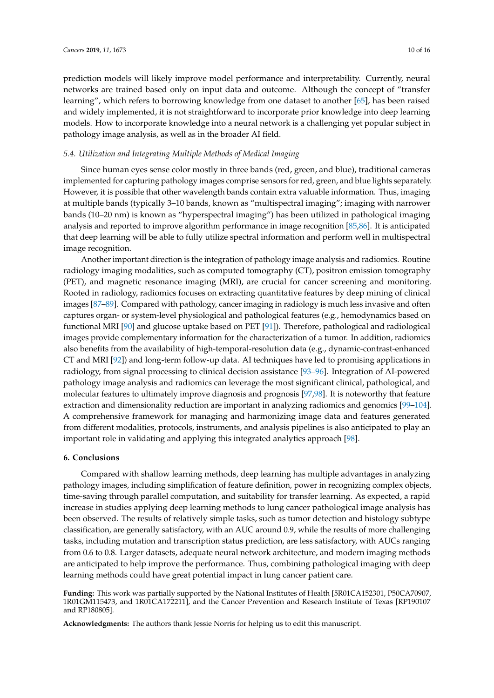prediction models will likely improve model performance and interpretability. Currently, neural networks are trained based only on input data and outcome. Although the concept of "transfer learning", which refers to borrowing knowledge from one dataset to another [\[65\]](#page-13-7), has been raised and widely implemented, it is not straightforward to incorporate prior knowledge into deep learning models. How to incorporate knowledge into a neural network is a challenging yet popular subject in pathology image analysis, as well as in the broader AI field.

#### *5.4. Utilization and Integrating Multiple Methods of Medical Imaging*

Since human eyes sense color mostly in three bands (red, green, and blue), traditional cameras implemented for capturing pathology images comprise sensors for red, green, and blue lights separately. However, it is possible that other wavelength bands contain extra valuable information. Thus, imaging at multiple bands (typically 3–10 bands, known as "multispectral imaging"; imaging with narrower bands (10–20 nm) is known as "hyperspectral imaging") has been utilized in pathological imaging analysis and reported to improve algorithm performance in image recognition [\[85](#page-14-7)[,86\]](#page-14-8). It is anticipated that deep learning will be able to fully utilize spectral information and perform well in multispectral image recognition.

Another important direction is the integration of pathology image analysis and radiomics. Routine radiology imaging modalities, such as computed tomography (CT), positron emission tomography (PET), and magnetic resonance imaging (MRI), are crucial for cancer screening and monitoring. Rooted in radiology, radiomics focuses on extracting quantitative features by deep mining of clinical images [\[87](#page-14-9)[–89\]](#page-14-10). Compared with pathology, cancer imaging in radiology is much less invasive and often captures organ- or system-level physiological and pathological features (e.g., hemodynamics based on functional MRI [\[90\]](#page-14-11) and glucose uptake based on PET [\[91\]](#page-14-12)). Therefore, pathological and radiological images provide complementary information for the characterization of a tumor. In addition, radiomics also benefits from the availability of high-temporal-resolution data (e.g., dynamic-contrast-enhanced CT and MRI [\[92\]](#page-14-13)) and long-term follow-up data. AI techniques have led to promising applications in radiology, from signal processing to clinical decision assistance [\[93](#page-14-14)[–96\]](#page-14-15). Integration of AI-powered pathology image analysis and radiomics can leverage the most significant clinical, pathological, and molecular features to ultimately improve diagnosis and prognosis [\[97](#page-14-16)[,98\]](#page-14-17). It is noteworthy that feature extraction and dimensionality reduction are important in analyzing radiomics and genomics [\[99–](#page-15-0)[104\]](#page-15-1). A comprehensive framework for managing and harmonizing image data and features generated from different modalities, protocols, instruments, and analysis pipelines is also anticipated to play an important role in validating and applying this integrated analytics approach [\[98\]](#page-14-17).

### **6. Conclusions**

Compared with shallow learning methods, deep learning has multiple advantages in analyzing pathology images, including simplification of feature definition, power in recognizing complex objects, time-saving through parallel computation, and suitability for transfer learning. As expected, a rapid increase in studies applying deep learning methods to lung cancer pathological image analysis has been observed. The results of relatively simple tasks, such as tumor detection and histology subtype classification, are generally satisfactory, with an AUC around 0.9, while the results of more challenging tasks, including mutation and transcription status prediction, are less satisfactory, with AUCs ranging from 0.6 to 0.8. Larger datasets, adequate neural network architecture, and modern imaging methods are anticipated to help improve the performance. Thus, combining pathological imaging with deep learning methods could have great potential impact in lung cancer patient care.

**Funding:** This work was partially supported by the National Institutes of Health [5R01CA152301, P50CA70907, 1R01GM115473, and 1R01CA172211], and the Cancer Prevention and Research Institute of Texas [RP190107 and RP180805].

**Acknowledgments:** The authors thank Jessie Norris for helping us to edit this manuscript.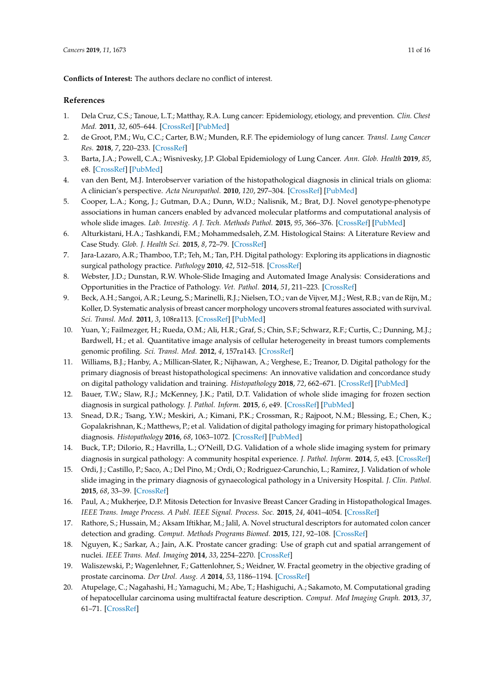**Conflicts of Interest:** The authors declare no conflict of interest.

# **References**

- <span id="page-10-0"></span>1. Dela Cruz, C.S.; Tanoue, L.T.; Matthay, R.A. Lung cancer: Epidemiology, etiology, and prevention. *Clin. Chest Med.* **2011**, *32*, 605–644. [\[CrossRef\]](http://dx.doi.org/10.1016/j.ccm.2011.09.001) [\[PubMed\]](http://www.ncbi.nlm.nih.gov/pubmed/22054876)
- 2. de Groot, P.M.; Wu, C.C.; Carter, B.W.; Munden, R.F. The epidemiology of lung cancer. *Transl. Lung Cancer Res.* **2018**, *7*, 220–233. [\[CrossRef\]](http://dx.doi.org/10.21037/tlcr.2018.05.06)
- <span id="page-10-1"></span>3. Barta, J.A.; Powell, C.A.; Wisnivesky, J.P. Global Epidemiology of Lung Cancer. *Ann. Glob. Health* **2019**, *85*, e8. [\[CrossRef\]](http://dx.doi.org/10.5334/aogh.2419) [\[PubMed\]](http://www.ncbi.nlm.nih.gov/pubmed/30741509)
- <span id="page-10-2"></span>4. van den Bent, M.J. Interobserver variation of the histopathological diagnosis in clinical trials on glioma: A clinician's perspective. *Acta Neuropathol.* **2010**, *120*, 297–304. [\[CrossRef\]](http://dx.doi.org/10.1007/s00401-010-0725-7) [\[PubMed\]](http://www.ncbi.nlm.nih.gov/pubmed/20644945)
- <span id="page-10-3"></span>5. Cooper, L.A.; Kong, J.; Gutman, D.A.; Dunn, W.D.; Nalisnik, M.; Brat, D.J. Novel genotype-phenotype associations in human cancers enabled by advanced molecular platforms and computational analysis of whole slide images. *Lab. Investig. A J. Tech. Methods Pathol.* **2015**, *95*, 366–376. [\[CrossRef\]](http://dx.doi.org/10.1038/labinvest.2014.153) [\[PubMed\]](http://www.ncbi.nlm.nih.gov/pubmed/25599536)
- <span id="page-10-4"></span>6. Alturkistani, H.A.; Tashkandi, F.M.; Mohammedsaleh, Z.M. Histological Stains: A Literature Review and Case Study. *Glob. J. Health Sci.* **2015**, *8*, 72–79. [\[CrossRef\]](http://dx.doi.org/10.5539/gjhs.v8n3p72)
- <span id="page-10-5"></span>7. Jara-Lazaro, A.R.; Thamboo, T.P.; Teh, M.; Tan, P.H. Digital pathology: Exploring its applications in diagnostic surgical pathology practice. *Pathology* **2010**, *42*, 512–518. [\[CrossRef\]](http://dx.doi.org/10.3109/00313025.2010.508787)
- <span id="page-10-6"></span>8. Webster, J.D.; Dunstan, R.W. Whole-Slide Imaging and Automated Image Analysis: Considerations and Opportunities in the Practice of Pathology. *Vet. Pathol.* **2014**, *51*, 211–223. [\[CrossRef\]](http://dx.doi.org/10.1177/0300985813503570)
- <span id="page-10-7"></span>9. Beck, A.H.; Sangoi, A.R.; Leung, S.; Marinelli, R.J.; Nielsen, T.O.; van de Vijver, M.J.; West, R.B.; van de Rijn, M.; Koller, D. Systematic analysis of breast cancer morphology uncovers stromal features associated with survival. *Sci. Transl. Med.* **2011**, *3*, 108ra113. [\[CrossRef\]](http://dx.doi.org/10.1126/scitranslmed.3002564) [\[PubMed\]](http://www.ncbi.nlm.nih.gov/pubmed/22072638)
- <span id="page-10-8"></span>10. Yuan, Y.; Failmezger, H.; Rueda, O.M.; Ali, H.R.; Graf, S.; Chin, S.F.; Schwarz, R.F.; Curtis, C.; Dunning, M.J.; Bardwell, H.; et al. Quantitative image analysis of cellular heterogeneity in breast tumors complements genomic profiling. *Sci. Transl. Med.* **2012**, *4*, 157ra143. [\[CrossRef\]](http://dx.doi.org/10.1126/scitranslmed.3004330)
- <span id="page-10-9"></span>11. Williams, B.J.; Hanby, A.; Millican-Slater, R.; Nijhawan, A.; Verghese, E.; Treanor, D. Digital pathology for the primary diagnosis of breast histopathological specimens: An innovative validation and concordance study on digital pathology validation and training. *Histopathology* **2018**, *72*, 662–671. [\[CrossRef\]](http://dx.doi.org/10.1111/his.13403) [\[PubMed\]](http://www.ncbi.nlm.nih.gov/pubmed/28940580)
- 12. Bauer, T.W.; Slaw, R.J.; McKenney, J.K.; Patil, D.T. Validation of whole slide imaging for frozen section diagnosis in surgical pathology. *J. Pathol. Inform.* **2015**, *6*, e49. [\[CrossRef\]](http://dx.doi.org/10.4103/2153-3539.163988) [\[PubMed\]](http://www.ncbi.nlm.nih.gov/pubmed/26430537)
- 13. Snead, D.R.; Tsang, Y.W.; Meskiri, A.; Kimani, P.K.; Crossman, R.; Rajpoot, N.M.; Blessing, E.; Chen, K.; Gopalakrishnan, K.; Matthews, P.; et al. Validation of digital pathology imaging for primary histopathological diagnosis. *Histopathology* **2016**, *68*, 1063–1072. [\[CrossRef\]](http://dx.doi.org/10.1111/his.12879) [\[PubMed\]](http://www.ncbi.nlm.nih.gov/pubmed/26409165)
- 14. Buck, T.P.; Dilorio, R.; Havrilla, L.; O'Neill, D.G. Validation of a whole slide imaging system for primary diagnosis in surgical pathology: A community hospital experience. *J. Pathol. Inform.* **2014**, *5*, e43. [\[CrossRef\]](http://dx.doi.org/10.4103/2153-3539.145731)
- <span id="page-10-10"></span>15. Ordi, J.; Castillo, P.; Saco, A.; Del Pino, M.; Ordi, O.; Rodriguez-Carunchio, L.; Ramirez, J. Validation of whole slide imaging in the primary diagnosis of gynaecological pathology in a University Hospital. *J. Clin. Pathol.* **2015**, *68*, 33–39. [\[CrossRef\]](http://dx.doi.org/10.1136/jclinpath-2014-202524)
- <span id="page-10-11"></span>16. Paul, A.; Mukherjee, D.P. Mitosis Detection for Invasive Breast Cancer Grading in Histopathological Images. *IEEE Trans. Image Process. A Publ. IEEE Signal. Process. Soc.* **2015**, *24*, 4041–4054. [\[CrossRef\]](http://dx.doi.org/10.1109/TIP.2015.2460455)
- 17. Rathore, S.; Hussain, M.; Aksam Iftikhar, M.; Jalil, A. Novel structural descriptors for automated colon cancer detection and grading. *Comput. Methods Programs Biomed.* **2015**, *121*, 92–108. [\[CrossRef\]](http://dx.doi.org/10.1016/j.cmpb.2015.05.008)
- 18. Nguyen, K.; Sarkar, A.; Jain, A.K. Prostate cancer grading: Use of graph cut and spatial arrangement of nuclei. *IEEE Trans. Med. Imaging* **2014**, *33*, 2254–2270. [\[CrossRef\]](http://dx.doi.org/10.1109/TMI.2014.2336883)
- 19. Waliszewski, P.; Wagenlehner, F.; Gattenlohner, S.; Weidner, W. Fractal geometry in the objective grading of prostate carcinoma. *Der Urol. Ausg. A* **2014**, *53*, 1186–1194. [\[CrossRef\]](http://dx.doi.org/10.1007/s00120-014-3472-x)
- <span id="page-10-12"></span>20. Atupelage, C.; Nagahashi, H.; Yamaguchi, M.; Abe, T.; Hashiguchi, A.; Sakamoto, M. Computational grading of hepatocellular carcinoma using multifractal feature description. *Comput. Med Imaging Graph.* **2013**, *37*, 61–71. [\[CrossRef\]](http://dx.doi.org/10.1016/j.compmedimag.2012.10.001)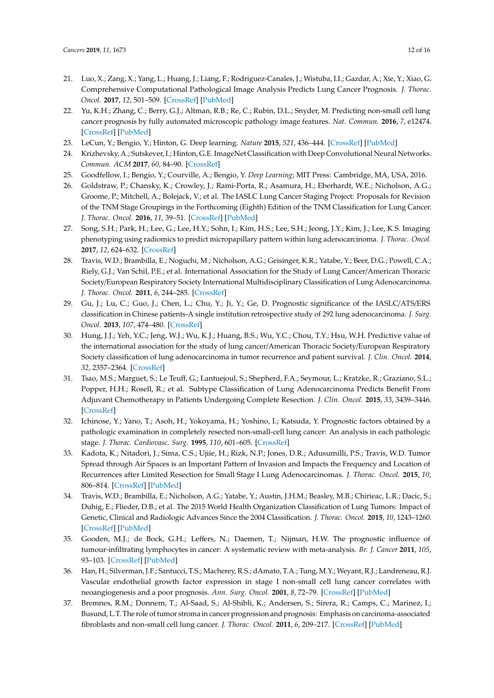- <span id="page-11-0"></span>21. Luo, X.; Zang, X.; Yang, L.; Huang, J.; Liang, F.; Rodriguez-Canales, J.; Wistuba, I.I.; Gazdar, A.; Xie, Y.; Xiao, G. Comprehensive Computational Pathological Image Analysis Predicts Lung Cancer Prognosis. *J. Thorac. Oncol.* **2017**, *12*, 501–509. [\[CrossRef\]](http://dx.doi.org/10.1016/j.jtho.2016.10.017) [\[PubMed\]](http://www.ncbi.nlm.nih.gov/pubmed/27826035)
- <span id="page-11-1"></span>22. Yu, K.H.; Zhang, C.; Berry, G.J.; Altman, R.B.; Re, C.; Rubin, D.L.; Snyder, M. Predicting non-small cell lung cancer prognosis by fully automated microscopic pathology image features. *Nat. Commun.* **2016**, *7*, e12474. [\[CrossRef\]](http://dx.doi.org/10.1038/ncomms12474) [\[PubMed\]](http://www.ncbi.nlm.nih.gov/pubmed/27527408)
- <span id="page-11-2"></span>23. LeCun, Y.; Bengio, Y.; Hinton, G. Deep learning. *Nature* **2015**, *521*, 436–444. [\[CrossRef\]](http://dx.doi.org/10.1038/nature14539) [\[PubMed\]](http://www.ncbi.nlm.nih.gov/pubmed/26017442)
- <span id="page-11-16"></span>24. Krizhevsky, A.; Sutskever, I.; Hinton, G.E. ImageNet Classification with Deep Convolutional Neural Networks. *Commun. ACM* **2017**, *60*, 84–90. [\[CrossRef\]](http://dx.doi.org/10.1145/3065386)
- <span id="page-11-3"></span>25. Goodfellow, I.; Bengio, Y.; Courville, A.; Bengio, Y. *Deep Learning*; MIT Press: Cambridge, MA, USA, 2016.
- <span id="page-11-4"></span>26. Goldstraw, P.; Chansky, K.; Crowley, J.; Rami-Porta, R.; Asamura, H.; Eberhardt, W.E.; Nicholson, A.G.; Groome, P.; Mitchell, A.; Bolejack, V.; et al. The IASLC Lung Cancer Staging Project: Proposals for Revision of the TNM Stage Groupings in the Forthcoming (Eighth) Edition of the TNM Classification for Lung Cancer. *J. Thorac. Oncol.* **2016**, *11*, 39–51. [\[CrossRef\]](http://dx.doi.org/10.1016/j.jtho.2015.09.009) [\[PubMed\]](http://www.ncbi.nlm.nih.gov/pubmed/26762738)
- <span id="page-11-5"></span>27. Song, S.H.; Park, H.; Lee, G.; Lee, H.Y.; Sohn, I.; Kim, H.S.; Lee, S.H.; Jeong, J.Y.; Kim, J.; Lee, K.S. Imaging phenotyping using radiomics to predict micropapillary pattern within lung adenocarcinoma. *J. Thorac. Oncol.* **2017**, *12*, 624–632. [\[CrossRef\]](http://dx.doi.org/10.1016/j.jtho.2016.11.2230)
- <span id="page-11-6"></span>28. Travis, W.D.; Brambilla, E.; Noguchi, M.; Nicholson, A.G.; Geisinger, K.R.; Yatabe, Y.; Beer, D.G.; Powell, C.A.; Riely, G.J.; Van Schil, P.E.; et al. International Association for the Study of Lung Cancer/American Thoracic Society/European Respiratory Society International Multidisciplinary Classification of Lung Adenocarcinoma. *J. Thorac. Oncol.* **2011**, *6*, 244–285. [\[CrossRef\]](http://dx.doi.org/10.1097/JTO.0b013e318206a221)
- <span id="page-11-7"></span>29. Gu, J.; Lu, C.; Guo, J.; Chen, L.; Chu, Y.; Ji, Y.; Ge, D. Prognostic significance of the IASLC/ATS/ERS classification in Chinese patients-A single institution retrospective study of 292 lung adenocarcinoma. *J. Surg. Oncol.* **2013**, *107*, 474–480. [\[CrossRef\]](http://dx.doi.org/10.1002/jso.23259)
- <span id="page-11-8"></span>30. Hung, J.J.; Yeh, Y.C.; Jeng, W.J.; Wu, K.J.; Huang, B.S.; Wu, Y.C.; Chou, T.Y.; Hsu, W.H. Predictive value of the international association for the study of lung cancer/American Thoracic Society/European Respiratory Society classification of lung adenocarcinoma in tumor recurrence and patient survival. *J. Clin. Oncol.* **2014**, *32*, 2357–2364. [\[CrossRef\]](http://dx.doi.org/10.1200/JCO.2013.50.1049)
- <span id="page-11-9"></span>31. Tsao, M.S.; Marguet, S.; Le Teuff, G.; Lantuejoul, S.; Shepherd, F.A.; Seymour, L.; Kratzke, R.; Graziano, S.L.; Popper, H.H.; Rosell, R.; et al. Subtype Classification of Lung Adenocarcinoma Predicts Benefit From Adjuvant Chemotherapy in Patients Undergoing Complete Resection. *J. Clin. Oncol.* **2015**, *33*, 3439–3446. [\[CrossRef\]](http://dx.doi.org/10.1200/JCO.2014.58.8335)
- <span id="page-11-10"></span>32. Ichinose, Y.; Yano, T.; Asoh, H.; Yokoyama, H.; Yoshino, I.; Katsuda, Y. Prognostic factors obtained by a pathologic examination in completely resected non-small-cell lung cancer: An analysis in each pathologic stage. *J. Thorac. Cardiovasc. Surg.* **1995**, *110*, 601–605. [\[CrossRef\]](http://dx.doi.org/10.1016/S0022-5223(95)70090-0)
- <span id="page-11-11"></span>33. Kadota, K.; Nitadori, J.; Sima, C.S.; Ujiie, H.; Rizk, N.P.; Jones, D.R.; Adusumilli, P.S.; Travis, W.D. Tumor Spread through Air Spaces is an Important Pattern of Invasion and Impacts the Frequency and Location of Recurrences after Limited Resection for Small Stage I Lung Adenocarcinomas. *J. Thorac. Oncol.* **2015**, *10*, 806–814. [\[CrossRef\]](http://dx.doi.org/10.1097/JTO.0000000000000486) [\[PubMed\]](http://www.ncbi.nlm.nih.gov/pubmed/25629637)
- <span id="page-11-12"></span>34. Travis, W.D.; Brambilla, E.; Nicholson, A.G.; Yatabe, Y.; Austin, J.H.M.; Beasley, M.B.; Chirieac, L.R.; Dacic, S.; Duhig, E.; Flieder, D.B.; et al. The 2015 World Health Organization Classification of Lung Tumors: Impact of Genetic, Clinical and Radiologic Advances Since the 2004 Classification. *J. Thorac. Oncol.* **2015**, *10*, 1243–1260. [\[CrossRef\]](http://dx.doi.org/10.1097/JTO.0000000000000630) [\[PubMed\]](http://www.ncbi.nlm.nih.gov/pubmed/26291008)
- <span id="page-11-13"></span>35. Gooden, M.J.; de Bock, G.H.; Leffers, N.; Daemen, T.; Nijman, H.W. The prognostic influence of tumour-infiltrating lymphocytes in cancer: A systematic review with meta-analysis. *Br. J. Cancer* **2011**, *105*, 93–103. [\[CrossRef\]](http://dx.doi.org/10.1038/bjc.2011.189) [\[PubMed\]](http://www.ncbi.nlm.nih.gov/pubmed/21629244)
- <span id="page-11-14"></span>36. Han, H.; Silverman, J.F.; Santucci, T.S.; Macherey, R.S.; dAmato, T.A.; Tung, M.Y.; Weyant, R.J.; Landreneau, R.J. Vascular endothelial growth factor expression in stage I non-small cell lung cancer correlates with neoangiogenesis and a poor prognosis. *Ann. Surg. Oncol.* **2001**, *8*, 72–79. [\[CrossRef\]](http://dx.doi.org/10.1007/s10434-001-0072-y) [\[PubMed\]](http://www.ncbi.nlm.nih.gov/pubmed/11206229)
- <span id="page-11-15"></span>37. Bremnes, R.M.; Donnem, T.; Al-Saad, S.; Al-Shibli, K.; Andersen, S.; Sirera, R.; Camps, C.; Marinez, I.; Busund, L.T. The role of tumor stroma in cancer progression and prognosis: Emphasis on carcinoma-associated fibroblasts and non-small cell lung cancer. *J. Thorac. Oncol.* **2011**, *6*, 209–217. [\[CrossRef\]](http://dx.doi.org/10.1097/JTO.0b013e3181f8a1bd) [\[PubMed\]](http://www.ncbi.nlm.nih.gov/pubmed/21107292)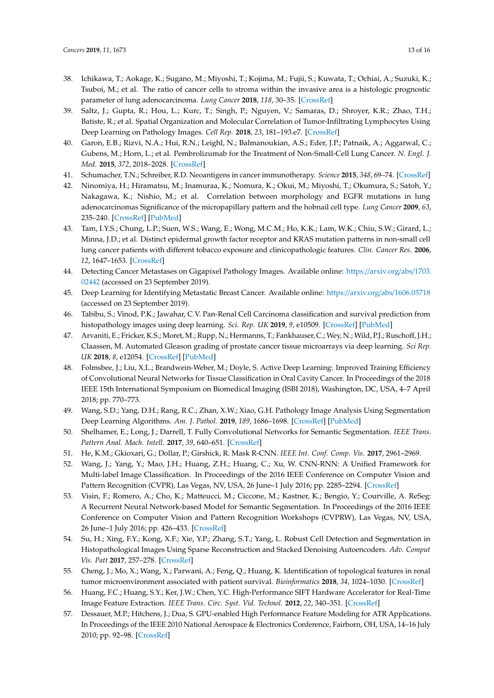- <span id="page-12-0"></span>38. Ichikawa, T.; Aokage, K.; Sugano, M.; Miyoshi, T.; Kojima, M.; Fujii, S.; Kuwata, T.; Ochiai, A.; Suzuki, K.; Tsuboi, M.; et al. The ratio of cancer cells to stroma within the invasive area is a histologic prognostic parameter of lung adenocarcinoma. *Lung Cancer* **2018**, *118*, 30–35. [\[CrossRef\]](http://dx.doi.org/10.1016/j.lungcan.2018.01.023)
- <span id="page-12-1"></span>39. Saltz, J.; Gupta, R.; Hou, L.; Kurc, T.; Singh, P.; Nguyen, V.; Samaras, D.; Shroyer, K.R.; Zhao, T.H.; Batiste, R.; et al. Spatial Organization and Molecular Correlation of Tumor-Infiltrating Lymphocytes Using Deep Learning on Pathology Images. *Cell Rep.* **2018**, *23*, 181–193.e7. [\[CrossRef\]](http://dx.doi.org/10.1016/j.celrep.2018.03.086)
- <span id="page-12-2"></span>40. Garon, E.B.; Rizvi, N.A.; Hui, R.N.; Leighl, N.; Balmanoukian, A.S.; Eder, J.P.; Patnaik, A.; Aggarwal, C.; Gubens, M.; Horn, L.; et al. Pembrolizumab for the Treatment of Non-Small-Cell Lung Cancer. *N. Engl. J. Med.* **2015**, *372*, 2018–2028. [\[CrossRef\]](http://dx.doi.org/10.1056/NEJMoa1501824)
- <span id="page-12-3"></span>41. Schumacher, T.N.; Schreiber, R.D. Neoantigens in cancer immunotherapy. *Science* **2015**, *348*, 69–74. [\[CrossRef\]](http://dx.doi.org/10.1126/science.aaa4971)
- <span id="page-12-4"></span>42. Ninomiya, H.; Hiramatsu, M.; Inamuraa, K.; Nomura, K.; Okui, M.; Miyoshi, T.; Okumura, S.; Satoh, Y.; Nakagawa, K.; Nishio, M.; et al. Correlation between morphology and EGFR mutations in lung adenocarcinomas Significance of the micropapillary pattern and the hobnail cell type. *Lung Cancer* **2009**, *63*, 235–240. [\[CrossRef\]](http://dx.doi.org/10.1016/j.lungcan.2008.04.017) [\[PubMed\]](http://www.ncbi.nlm.nih.gov/pubmed/18571764)
- <span id="page-12-5"></span>43. Tam, I.Y.S.; Chung, L.P.; Suen, W.S.; Wang, E.; Wong, M.C.M.; Ho, K.K.; Lam, W.K.; Chiu, S.W.; Girard, L.; Minna, J.D.; et al. Distinct epidermal growth factor receptor and KRAS mutation patterns in non-small cell lung cancer patients with different tobacco exposure and clinicopathologic features. *Clin. Cancer Res.* **2006**, *12*, 1647–1653. [\[CrossRef\]](http://dx.doi.org/10.1158/1078-0432.CCR-05-1981)
- <span id="page-12-6"></span>44. Detecting Cancer Metastases on Gigapixel Pathology Images. Available online: https://[arxiv.org](https://arxiv.org/abs/1703.02442)/abs/1703. [02442](https://arxiv.org/abs/1703.02442) (accessed on 23 September 2019).
- <span id="page-12-7"></span>45. Deep Learning for Identifying Metastatic Breast Cancer. Available online: https://arxiv.org/abs/[1606.05718](https://arxiv.org/abs/1606.05718) (accessed on 23 September 2019).
- <span id="page-12-8"></span>46. Tabibu, S.; Vinod, P.K.; Jawahar, C.V. Pan-Renal Cell Carcinoma classification and survival prediction from histopathology images using deep learning. *Sci. Rep. UK* **2019**, *9*, e10509. [\[CrossRef\]](http://dx.doi.org/10.1038/s41598-019-46718-3) [\[PubMed\]](http://www.ncbi.nlm.nih.gov/pubmed/31324828)
- <span id="page-12-9"></span>47. Arvaniti, E.; Fricker, K.S.; Moret, M.; Rupp, N.; Hermanns, T.; Fankhauser, C.; Wey, N.; Wild, P.J.; Ruschoff, J.H.; Claassen, M. Automated Gleason grading of prostate cancer tissue microarrays via deep learning. *Sci Rep. UK* **2018**, *8*, e12054. [\[CrossRef\]](http://dx.doi.org/10.1038/s41598-018-30535-1) [\[PubMed\]](http://www.ncbi.nlm.nih.gov/pubmed/30104757)
- <span id="page-12-10"></span>48. Folmsbee, J.; Liu, X.L.; Brandwein-Weber, M.; Doyle, S. Active Deep Learning: Improved Training Efficiency of Convolutional Neural Networks for Tissue Classification in Oral Cavity Cancer. In Proceedings of the 2018 IEEE 15th International Symposium on Biomedical Imaging (ISBI 2018), Washington, DC, USA, 4–7 April 2018; pp. 770–773.
- <span id="page-12-11"></span>49. Wang, S.D.; Yang, D.H.; Rang, R.C.; Zhan, X.W.; Xiao, G.H. Pathology Image Analysis Using Segmentation Deep Learning Algorithms. *Am. J. Pathol.* **2019**, *189*, 1686–1698. [\[CrossRef\]](http://dx.doi.org/10.1016/j.ajpath.2019.05.007) [\[PubMed\]](http://www.ncbi.nlm.nih.gov/pubmed/31199919)
- <span id="page-12-12"></span>50. Shelhamer, E.; Long, J.; Darrell, T. Fully Convolutional Networks for Semantic Segmentation. *IEEE Trans. Pattern Anal. Mach. Intell.* **2017**, *39*, 640–651. [\[CrossRef\]](http://dx.doi.org/10.1109/TPAMI.2016.2572683)
- <span id="page-12-13"></span>51. He, K.M.; Gkioxari, G.; Dollar, P.; Girshick, R. Mask R-CNN. *IEEE Int. Conf. Comp. Vis.* **2017**, 2961–2969.
- <span id="page-12-14"></span>52. Wang, J.; Yang, Y.; Mao, J.H.; Huang, Z.H.; Huang, C.; Xu, W. CNN-RNN: A Unified Framework for Multi-label Image Classification. In Proceedings of the 2016 IEEE Conference on Computer Vision and Pattern Recognition (CVPR), Las Vegas, NV, USA, 26 June–1 July 2016; pp. 2285–2294. [\[CrossRef\]](http://dx.doi.org/10.1109/Cvpr.2016.251)
- <span id="page-12-15"></span>53. Visin, F.; Romero, A.; Cho, K.; Matteucci, M.; Ciccone, M.; Kastner, K.; Bengio, Y.; Courville, A. ReSeg: A Recurrent Neural Network-based Model for Semantic Segmentation. In Proceedings of the 2016 IEEE Conference on Computer Vision and Pattern Recognition Workshops (CVPRW), Las Vegas, NV, USA, 26 June–1 July 2016; pp. 426–433. [\[CrossRef\]](http://dx.doi.org/10.1109/Cvprw.2016.60)
- <span id="page-12-16"></span>54. Su, H.; Xing, F.Y.; Kong, X.F.; Xie, Y.P.; Zhang, S.T.; Yang, L. Robust Cell Detection and Segmentation in Histopathological Images Using Sparse Reconstruction and Stacked Denoising Autoencoders. *Adv. Comput Vis. Patt* **2017**, 257–278. [\[CrossRef\]](http://dx.doi.org/10.1007/978-3-319-42999-1_15)
- <span id="page-12-17"></span>55. Cheng, J.; Mo, X.; Wang, X.; Parwani, A.; Feng, Q.; Huang, K. Identification of topological features in renal tumor microenvironment associated with patient survival. *Bioinformatics* **2018**, *34*, 1024–1030. [\[CrossRef\]](http://dx.doi.org/10.1093/bioinformatics/btx723)
- <span id="page-12-18"></span>56. Huang, F.C.; Huang, S.Y.; Ker, J.W.; Chen, Y.C. High-Performance SIFT Hardware Accelerator for Real-Time Image Feature Extraction. *IEEE Trans. Circ. Syst. Vid. Technol.* **2012**, *22*, 340–351. [\[CrossRef\]](http://dx.doi.org/10.1109/TCSVT.2011.2162760)
- <span id="page-12-19"></span>57. Dessauer, M.P.; Hitchens, J.; Dua, S. GPU-enabled High Performance Feature Modeling for ATR Applications. In Proceedings of the IEEE 2010 National Aerospace & Electronics Conference, Fairborn, OH, USA, 14–16 July 2010; pp. 92–98. [\[CrossRef\]](http://dx.doi.org/10.1109/Naecon.2010.5712930)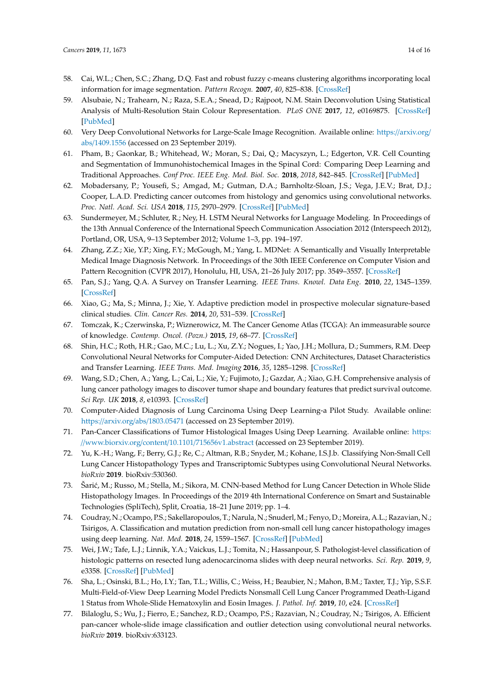- <span id="page-13-0"></span>58. Cai, W.L.; Chen, S.C.; Zhang, D.Q. Fast and robust fuzzy c-means clustering algorithms incorporating local information for image segmentation. *Pattern Recogn.* **2007**, *40*, 825–838. [\[CrossRef\]](http://dx.doi.org/10.1016/j.patcog.2006.07.011)
- <span id="page-13-1"></span>59. Alsubaie, N.; Trahearn, N.; Raza, S.E.A.; Snead, D.; Rajpoot, N.M. Stain Deconvolution Using Statistical Analysis of Multi-Resolution Stain Colour Representation. *PLoS ONE* **2017**, *12*, e0169875. [\[CrossRef\]](http://dx.doi.org/10.1371/journal.pone.0169875) [\[PubMed\]](http://www.ncbi.nlm.nih.gov/pubmed/28076381)
- <span id="page-13-2"></span>60. Very Deep Convolutional Networks for Large-Scale Image Recognition. Available online: https://[arxiv.org](https://arxiv.org/abs/1409.1556)/ abs/[1409.1556](https://arxiv.org/abs/1409.1556) (accessed on 23 September 2019).
- <span id="page-13-3"></span>61. Pham, B.; Gaonkar, B.; Whitehead, W.; Moran, S.; Dai, Q.; Macyszyn, L.; Edgerton, V.R. Cell Counting and Segmentation of Immunohistochemical Images in the Spinal Cord: Comparing Deep Learning and Traditional Approaches. *Conf Proc. IEEE Eng. Med. Biol. Soc.* **2018**, *2018*, 842–845. [\[CrossRef\]](http://dx.doi.org/10.1109/EMBC.2018.8512442) [\[PubMed\]](http://www.ncbi.nlm.nih.gov/pubmed/30440523)
- <span id="page-13-4"></span>62. Mobadersany, P.; Yousefi, S.; Amgad, M.; Gutman, D.A.; Barnholtz-Sloan, J.S.; Vega, J.E.V.; Brat, D.J.; Cooper, L.A.D. Predicting cancer outcomes from histology and genomics using convolutional networks. *Proc. Natl. Acad. Sci. USA* **2018**, *115*, 2970–2979. [\[CrossRef\]](http://dx.doi.org/10.1073/pnas.1717139115) [\[PubMed\]](http://www.ncbi.nlm.nih.gov/pubmed/29531073)
- <span id="page-13-5"></span>63. Sundermeyer, M.; Schluter, R.; Ney, H. LSTM Neural Networks for Language Modeling. In Proceedings of the 13th Annual Conference of the International Speech Communication Association 2012 (Interspeech 2012), Portland, OR, USA, 9–13 September 2012; Volume 1–3, pp. 194–197.
- <span id="page-13-6"></span>64. Zhang, Z.Z.; Xie, Y.P.; Xing, F.Y.; McGough, M.; Yang, L. MDNet: A Semantically and Visually Interpretable Medical Image Diagnosis Network. In Proceedings of the 30th IEEE Conference on Computer Vision and Pattern Recognition (CVPR 2017), Honolulu, HI, USA, 21–26 July 2017; pp. 3549–3557. [\[CrossRef\]](http://dx.doi.org/10.1109/Cvpr.2017.378)
- <span id="page-13-7"></span>65. Pan, S.J.; Yang, Q.A. A Survey on Transfer Learning. *IEEE Trans. Knowl. Data Eng.* **2010**, *22*, 1345–1359. [\[CrossRef\]](http://dx.doi.org/10.1109/TKDE.2009.191)
- <span id="page-13-8"></span>66. Xiao, G.; Ma, S.; Minna, J.; Xie, Y. Adaptive prediction model in prospective molecular signature-based clinical studies. *Clin. Cancer Res.* **2014**, *20*, 531–539. [\[CrossRef\]](http://dx.doi.org/10.1158/1078-0432.CCR-13-2127)
- <span id="page-13-9"></span>67. Tomczak, K.; Czerwinska, P.; Wiznerowicz, M. The Cancer Genome Atlas (TCGA): An immeasurable source of knowledge. *Contemp. Oncol. (Pozn.)* **2015**, *19*, 68–77. [\[CrossRef\]](http://dx.doi.org/10.5114/wo.2014.47136)
- <span id="page-13-10"></span>68. Shin, H.C.; Roth, H.R.; Gao, M.C.; Lu, L.; Xu, Z.Y.; Nogues, I.; Yao, J.H.; Mollura, D.; Summers, R.M. Deep Convolutional Neural Networks for Computer-Aided Detection: CNN Architectures, Dataset Characteristics and Transfer Learning. *IEEE Trans. Med. Imaging* **2016**, *35*, 1285–1298. [\[CrossRef\]](http://dx.doi.org/10.1109/TMI.2016.2528162)
- <span id="page-13-11"></span>69. Wang, S.D.; Chen, A.; Yang, L.; Cai, L.; Xie, Y.; Fujimoto, J.; Gazdar, A.; Xiao, G.H. Comprehensive analysis of lung cancer pathology images to discover tumor shape and boundary features that predict survival outcome. *Sci Rep. UK* **2018**, *8*, e10393. [\[CrossRef\]](http://dx.doi.org/10.1038/s41598-018-27707-4)
- <span id="page-13-12"></span>70. Computer-Aided Diagnosis of Lung Carcinoma Using Deep Learning-a Pilot Study. Available online: https://arxiv.org/abs/[1803.05471](https://arxiv.org/abs/1803.05471) (accessed on 23 September 2019).
- <span id="page-13-13"></span>71. Pan-Cancer Classifications of Tumor Histological Images Using Deep Learning. Available online: [https:](https://www.biorxiv.org/content/10.1101/715656v1.abstract) //www.biorxiv.org/content/10.1101/[715656v1.abstract](https://www.biorxiv.org/content/10.1101/715656v1.abstract) (accessed on 23 September 2019).
- <span id="page-13-14"></span>72. Yu, K.-H.; Wang, F.; Berry, G.J.; Re, C.; Altman, R.B.; Snyder, M.; Kohane, I.S.J.b. Classifying Non-Small Cell Lung Cancer Histopathology Types and Transcriptomic Subtypes using Convolutional Neural Networks. *bioRxiv* **2019**. bioRxiv:530360.
- <span id="page-13-15"></span>73. Šarić, M.; Russo, M.; Stella, M.; Sikora, M. CNN-based Method for Lung Cancer Detection in Whole Slide Histopathology Images. In Proceedings of the 2019 4th International Conference on Smart and Sustainable Technologies (SpliTech), Split, Croatia, 18–21 June 2019; pp. 1–4.
- <span id="page-13-16"></span>74. Coudray, N.; Ocampo, P.S.; Sakellaropoulos, T.; Narula, N.; Snuderl, M.; Fenyo, D.; Moreira, A.L.; Razavian, N.; Tsirigos, A. Classification and mutation prediction from non-small cell lung cancer histopathology images using deep learning. *Nat. Med.* **2018**, *24*, 1559–1567. [\[CrossRef\]](http://dx.doi.org/10.1038/s41591-018-0177-5) [\[PubMed\]](http://www.ncbi.nlm.nih.gov/pubmed/30224757)
- <span id="page-13-17"></span>75. Wei, J.W.; Tafe, L.J.; Linnik, Y.A.; Vaickus, L.J.; Tomita, N.; Hassanpour, S. Pathologist-level classification of histologic patterns on resected lung adenocarcinoma slides with deep neural networks. *Sci. Rep.* **2019**, *9*, e3358. [\[CrossRef\]](http://dx.doi.org/10.1038/s41598-019-40041-7) [\[PubMed\]](http://www.ncbi.nlm.nih.gov/pubmed/30833650)
- <span id="page-13-18"></span>76. Sha, L.; Osinski, B.L.; Ho, I.Y.; Tan, T.L.; Willis, C.; Weiss, H.; Beaubier, N.; Mahon, B.M.; Taxter, T.J.; Yip, S.S.F. Multi-Field-of-View Deep Learning Model Predicts Nonsmall Cell Lung Cancer Programmed Death-Ligand 1 Status from Whole-Slide Hematoxylin and Eosin Images. *J. Pathol. Inf.* **2019**, *10*, e24. [\[CrossRef\]](http://dx.doi.org/10.4103/jpi.jpi_24_19)
- <span id="page-13-19"></span>77. Bilaloglu, S.; Wu, J.; Fierro, E.; Sanchez, R.D.; Ocampo, P.S.; Razavian, N.; Coudray, N.; Tsirigos, A. Efficient pan-cancer whole-slide image classification and outlier detection using convolutional neural networks. *bioRxiv* **2019**. bioRxiv:633123.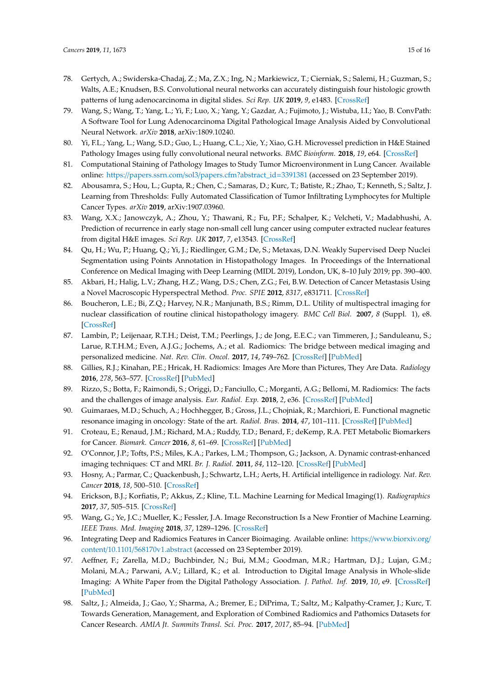- <span id="page-14-0"></span>78. Gertych, A.; Swiderska-Chadaj, Z.; Ma, Z.X.; Ing, N.; Markiewicz, T.; Cierniak, S.; Salemi, H.; Guzman, S.; Walts, A.E.; Knudsen, B.S. Convolutional neural networks can accurately distinguish four histologic growth patterns of lung adenocarcinoma in digital slides. *Sci Rep. UK* **2019**, *9*, e1483. [\[CrossRef\]](http://dx.doi.org/10.1038/s41598-018-37638-9)
- <span id="page-14-1"></span>79. Wang, S.; Wang, T.; Yang, L.; Yi, F.; Luo, X.; Yang, Y.; Gazdar, A.; Fujimoto, J.; Wistuba, I.I.; Yao, B. ConvPath: A Software Tool for Lung Adenocarcinoma Digital Pathological Image Analysis Aided by Convolutional Neural Network. *arXiv* **2018**, arXiv:1809.10240.
- <span id="page-14-2"></span>80. Yi, F.L.; Yang, L.; Wang, S.D.; Guo, L.; Huang, C.L.; Xie, Y.; Xiao, G.H. Microvessel prediction in H&E Stained Pathology Images using fully convolutional neural networks. *BMC Bioinform.* **2018**, *19*, e64. [\[CrossRef\]](http://dx.doi.org/10.1186/s12859-018-2055-z)
- <span id="page-14-3"></span>81. Computational Staining of Pathology Images to Study Tumor Microenvironment in Lung Cancer. Available online: https://papers.ssrn.com/sol3/[papers.cfm?abstract\\_id](https://papers.ssrn.com/sol3/papers.cfm?abstract_id=3391381)=3391381 (accessed on 23 September 2019).
- <span id="page-14-4"></span>82. Abousamra, S.; Hou, L.; Gupta, R.; Chen, C.; Samaras, D.; Kurc, T.; Batiste, R.; Zhao, T.; Kenneth, S.; Saltz, J. Learning from Thresholds: Fully Automated Classification of Tumor Infiltrating Lymphocytes for Multiple Cancer Types. *arXiv* **2019**, arXiv:1907.03960.
- <span id="page-14-5"></span>83. Wang, X.X.; Janowczyk, A.; Zhou, Y.; Thawani, R.; Fu, P.F.; Schalper, K.; Velcheti, V.; Madabhushi, A. Prediction of recurrence in early stage non-small cell lung cancer using computer extracted nuclear features from digital H&E images. *Sci Rep. UK* **2017**, *7*, e13543. [\[CrossRef\]](http://dx.doi.org/10.1038/s41598-017-13773-7)
- <span id="page-14-6"></span>84. Qu, H.; Wu, P.; Huang, Q.; Yi, J.; Riedlinger, G.M.; De, S.; Metaxas, D.N. Weakly Supervised Deep Nuclei Segmentation using Points Annotation in Histopathology Images. In Proceedings of the International Conference on Medical Imaging with Deep Learning (MIDL 2019), London, UK, 8–10 July 2019; pp. 390–400.
- <span id="page-14-7"></span>85. Akbari, H.; Halig, L.V.; Zhang, H.Z.; Wang, D.S.; Chen, Z.G.; Fei, B.W. Detection of Cancer Metastasis Using a Novel Macroscopic Hyperspectral Method. *Proc. SPIE* **2012**, *8317*, e831711. [\[CrossRef\]](http://dx.doi.org/10.1117/12.912026)
- <span id="page-14-8"></span>86. Boucheron, L.E.; Bi, Z.Q.; Harvey, N.R.; Manjunath, B.S.; Rimm, D.L. Utility of multispectral imaging for nuclear classification of routine clinical histopathology imagery. *BMC Cell Biol.* **2007**, *8* (Suppl. 1), e8. [\[CrossRef\]](http://dx.doi.org/10.1186/1471-2121-8-S1-S8)
- <span id="page-14-9"></span>87. Lambin, P.; Leijenaar, R.T.H.; Deist, T.M.; Peerlings, J.; de Jong, E.E.C.; van Timmeren, J.; Sanduleanu, S.; Larue, R.T.H.M.; Even, A.J.G.; Jochems, A.; et al. Radiomics: The bridge between medical imaging and personalized medicine. *Nat. Rev. Clin. Oncol.* **2017**, *14*, 749–762. [\[CrossRef\]](http://dx.doi.org/10.1038/nrclinonc.2017.141) [\[PubMed\]](http://www.ncbi.nlm.nih.gov/pubmed/28975929)
- 88. Gillies, R.J.; Kinahan, P.E.; Hricak, H. Radiomics: Images Are More than Pictures, They Are Data. *Radiology* **2016**, *278*, 563–577. [\[CrossRef\]](http://dx.doi.org/10.1148/radiol.2015151169) [\[PubMed\]](http://www.ncbi.nlm.nih.gov/pubmed/26579733)
- <span id="page-14-10"></span>89. Rizzo, S.; Botta, F.; Raimondi, S.; Origgi, D.; Fanciullo, C.; Morganti, A.G.; Bellomi, M. Radiomics: The facts and the challenges of image analysis. *Eur. Radiol. Exp.* **2018**, *2*, e36. [\[CrossRef\]](http://dx.doi.org/10.1186/s41747-018-0068-z) [\[PubMed\]](http://www.ncbi.nlm.nih.gov/pubmed/30426318)
- <span id="page-14-11"></span>90. Guimaraes, M.D.; Schuch, A.; Hochhegger, B.; Gross, J.L.; Chojniak, R.; Marchiori, E. Functional magnetic resonance imaging in oncology: State of the art. *Radiol. Bras.* **2014**, *47*, 101–111. [\[CrossRef\]](http://dx.doi.org/10.1590/S0100-39842014000200013) [\[PubMed\]](http://www.ncbi.nlm.nih.gov/pubmed/25741058)
- <span id="page-14-12"></span>91. Croteau, E.; Renaud, J.M.; Richard, M.A.; Ruddy, T.D.; Benard, F.; deKemp, R.A. PET Metabolic Biomarkers for Cancer. *Biomark. Cancer* **2016**, *8*, 61–69. [\[CrossRef\]](http://dx.doi.org/10.4137/BIC.S27483) [\[PubMed\]](http://www.ncbi.nlm.nih.gov/pubmed/27679534)
- <span id="page-14-13"></span>92. O'Connor, J.P.; Tofts, P.S.; Miles, K.A.; Parkes, L.M.; Thompson, G.; Jackson, A. Dynamic contrast-enhanced imaging techniques: CT and MRI. *Br. J. Radiol.* **2011**, *84*, 112–120. [\[CrossRef\]](http://dx.doi.org/10.1259/bjr/55166688) [\[PubMed\]](http://www.ncbi.nlm.nih.gov/pubmed/22433822)
- <span id="page-14-14"></span>93. Hosny, A.; Parmar, C.; Quackenbush, J.; Schwartz, L.H.; Aerts, H. Artificial intelligence in radiology. *Nat. Rev. Cancer* **2018**, *18*, 500–510. [\[CrossRef\]](http://dx.doi.org/10.1038/s41568-018-0016-5)
- 94. Erickson, B.J.; Korfiatis, P.; Akkus, Z.; Kline, T.L. Machine Learning for Medical Imaging(1). *Radiographics* **2017**, *37*, 505–515. [\[CrossRef\]](http://dx.doi.org/10.1148/rg.2017160130)
- 95. Wang, G.; Ye, J.C.; Mueller, K.; Fessler, J.A. Image Reconstruction Is a New Frontier of Machine Learning. *IEEE Trans. Med. Imaging* **2018**, *37*, 1289–1296. [\[CrossRef\]](http://dx.doi.org/10.1109/TMI.2018.2833635)
- <span id="page-14-15"></span>96. Integrating Deep and Radiomics Features in Cancer Bioimaging. Available online: https://[www.biorxiv.org](https://www.biorxiv.org/content/10.1101/568170v1.abstract)/ content/10.1101/[568170v1.abstract](https://www.biorxiv.org/content/10.1101/568170v1.abstract) (accessed on 23 September 2019).
- <span id="page-14-16"></span>97. Aeffner, F.; Zarella, M.D.; Buchbinder, N.; Bui, M.M.; Goodman, M.R.; Hartman, D.J.; Lujan, G.M.; Molani, M.A.; Parwani, A.V.; Lillard, K.; et al. Introduction to Digital Image Analysis in Whole-slide Imaging: A White Paper from the Digital Pathology Association. *J. Pathol. Inf.* **2019**, *10*, e9. [\[CrossRef\]](http://dx.doi.org/10.4103/jpi.jpi_82_18) [\[PubMed\]](http://www.ncbi.nlm.nih.gov/pubmed/30984469)
- <span id="page-14-17"></span>98. Saltz, J.; Almeida, J.; Gao, Y.; Sharma, A.; Bremer, E.; DiPrima, T.; Saltz, M.; Kalpathy-Cramer, J.; Kurc, T. Towards Generation, Management, and Exploration of Combined Radiomics and Pathomics Datasets for Cancer Research. *AMIA Jt. Summits Transl. Sci. Proc.* **2017**, *2017*, 85–94. [\[PubMed\]](http://www.ncbi.nlm.nih.gov/pubmed/28815113)